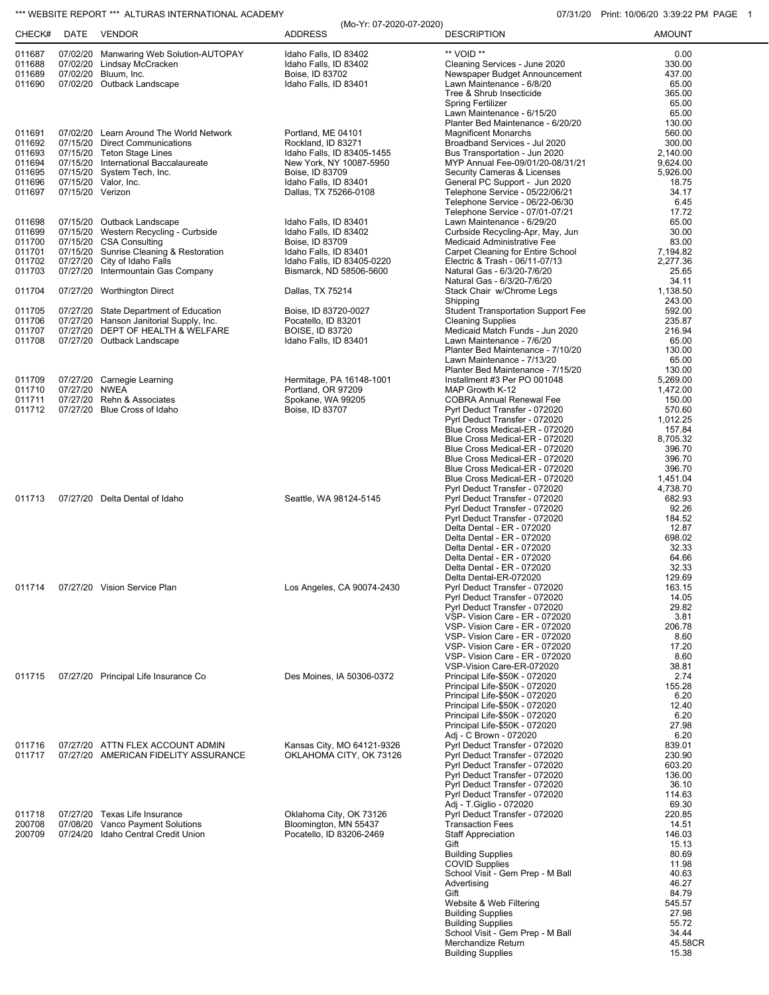## \*\*\* WEBSITE REPORT \*\*\* ALTURAS INTERNATIONAL ACADEMY **CONSUMENT CONSUMING THE CONSUMING OT ACCOLL**

| CHECK#           | DATE             | VENDOR                                                                       | (Mo-Yr: 07-2020-07-2020)<br><b>ADDRESS</b>            | <b>DESCRIPTION</b>                                                | <b>AMOUNT</b>        |
|------------------|------------------|------------------------------------------------------------------------------|-------------------------------------------------------|-------------------------------------------------------------------|----------------------|
| 011687<br>011688 |                  | 07/02/20 Manwaring Web Solution-AUTOPAY<br>07/02/20 Lindsay McCracken        | Idaho Falls, ID 83402<br>Idaho Falls, ID 83402        | ** VOID **<br>Cleaning Services - June 2020                       | 0.00<br>330.00       |
| 011689           |                  | 07/02/20 Bluum, Inc.                                                         | Boise, ID 83702                                       | Newspaper Budget Announcement                                     | 437.00               |
| 011690           |                  | 07/02/20 Outback Landscape                                                   | Idaho Falls, ID 83401                                 | Lawn Maintenance - 6/8/20                                         | 65.00                |
|                  |                  |                                                                              |                                                       | Tree & Shrub Insecticide                                          | 365.00               |
|                  |                  |                                                                              |                                                       | <b>Spring Fertilizer</b>                                          | 65.00                |
|                  |                  |                                                                              |                                                       | Lawn Maintenance - 6/15/20<br>Planter Bed Maintenance - 6/20/20   | 65.00<br>130.00      |
| 011691           |                  | 07/02/20 Learn Around The World Network                                      | Portland, ME 04101                                    | <b>Magnificent Monarchs</b>                                       | 560.00               |
| 011692           |                  | 07/15/20 Direct Communications                                               | Rockland, ID 83271                                    | Broadband Services - Jul 2020                                     | 300.00               |
| 011693           |                  | 07/15/20 Teton Stage Lines                                                   | Idaho Falls, ID 83405-1455                            | Bus Transportation - Jun 2020                                     | 2,140.00             |
| 011694<br>011695 |                  | 07/15/20 International Baccalaureate<br>07/15/20 System Tech, Inc.           | New York, NY 10087-5950<br>Boise, ID 83709            | MYP Annual Fee-09/01/20-08/31/21<br>Security Cameras & Licenses   | 9,624.00<br>5,926.00 |
| 011696           |                  | 07/15/20 Valor, Inc.                                                         | Idaho Falls, ID 83401                                 | General PC Support - Jun 2020                                     | 18.75                |
| 011697           | 07/15/20 Verizon |                                                                              | Dallas, TX 75266-0108                                 | Telephone Service - 05/22/06/21                                   | 34.17                |
|                  |                  |                                                                              |                                                       | Telephone Service - 06/22-06/30                                   | 6.45                 |
| 011698           |                  | 07/15/20 Outback Landscape                                                   | Idaho Falls, ID 83401                                 | Telephone Service - 07/01-07/21<br>Lawn Maintenance - 6/29/20     | 17.72<br>65.00       |
| 011699           |                  | 07/15/20 Western Recycling - Curbside                                        | Idaho Falls, ID 83402                                 | Curbside Recycling-Apr, May, Jun                                  | 30.00                |
| 011700           |                  | 07/15/20 CSA Consulting                                                      | Boise, ID 83709                                       | Medicaid Administrative Fee                                       | 83.00                |
| 011701           |                  | 07/15/20 Sunrise Cleaning & Restoration                                      | Idaho Falls, ID 83401                                 | Carpet Cleaning for Entire School                                 | 7,194.82             |
| 011702<br>011703 |                  | 07/27/20 City of Idaho Falls<br>07/27/20 Intermountain Gas Company           | Idaho Falls, ID 83405-0220<br>Bismarck, ND 58506-5600 | Electric & Trash - 06/11-07/13<br>Natural Gas - 6/3/20-7/6/20     | 2,277.36<br>25.65    |
|                  |                  |                                                                              |                                                       | Natural Gas - 6/3/20-7/6/20                                       | 34.11                |
| 011704           |                  | 07/27/20 Worthington Direct                                                  | Dallas, TX 75214                                      | Stack Chair w/Chrome Legs                                         | 1,138.50             |
|                  |                  |                                                                              |                                                       | Shipping                                                          | 243.00               |
| 011705           |                  | 07/27/20 State Department of Education                                       | Boise, ID 83720-0027                                  | <b>Student Transportation Support Fee</b>                         | 592.00               |
| 011706<br>011707 |                  | 07/27/20 Hanson Janitorial Supply, Inc.<br>07/27/20 DEPT OF HEALTH & WELFARE | Pocatello. ID 83201<br><b>BOISE, ID 83720</b>         | <b>Cleaning Supplies</b><br>Medicaid Match Funds - Jun 2020       | 235.87<br>216.94     |
| 011708           |                  | 07/27/20 Outback Landscape                                                   | Idaho Falls, ID 83401                                 | Lawn Maintenance - 7/6/20                                         | 65.00                |
|                  |                  |                                                                              |                                                       | Planter Bed Maintenance - 7/10/20                                 | 130.00               |
|                  |                  |                                                                              |                                                       | Lawn Maintenance - 7/13/20                                        | 65.00                |
| 011709           |                  | 07/27/20 Carnegie Learning                                                   | Hermitage, PA 16148-1001                              | Planter Bed Maintenance - 7/15/20<br>Installment #3 Per PO 001048 | 130.00<br>5,269.00   |
| 011710           | 07/27/20 NWEA    |                                                                              | Portland, OR 97209                                    | MAP Growth K-12                                                   | 1,472.00             |
| 011711           |                  | 07/27/20 Rehn & Associates                                                   | Spokane, WA 99205                                     | <b>COBRA Annual Renewal Fee</b>                                   | 150.00               |
| 011712           |                  | 07/27/20 Blue Cross of Idaho                                                 | Boise, ID 83707                                       | Pyrl Deduct Transfer - 072020                                     | 570.60               |
|                  |                  |                                                                              |                                                       | Pyrl Deduct Transfer - 072020                                     | 1,012.25             |
|                  |                  |                                                                              |                                                       | Blue Cross Medical-ER - 072020<br>Blue Cross Medical-ER - 072020  | 157.84<br>8,705.32   |
|                  |                  |                                                                              |                                                       | Blue Cross Medical-ER - 072020                                    | 396.70               |
|                  |                  |                                                                              |                                                       | Blue Cross Medical-ER - 072020                                    | 396.70               |
|                  |                  |                                                                              |                                                       | Blue Cross Medical-ER - 072020                                    | 396.70               |
|                  |                  |                                                                              |                                                       | Blue Cross Medical-ER - 072020<br>Pyrl Deduct Transfer - 072020   | 1,451.04<br>4,738.70 |
| 011713           |                  | 07/27/20 Delta Dental of Idaho                                               | Seattle, WA 98124-5145                                | Pyrl Deduct Transfer - 072020                                     | 682.93               |
|                  |                  |                                                                              |                                                       | Pyrl Deduct Transfer - 072020                                     | 92.26                |
|                  |                  |                                                                              |                                                       | Pyrl Deduct Transfer - 072020                                     | 184.52               |
|                  |                  |                                                                              |                                                       | Delta Dental - ER - 072020                                        | 12.87                |
|                  |                  |                                                                              |                                                       | Delta Dental - ER - 072020<br>Delta Dental - ER - 072020          | 698.02<br>32.33      |
|                  |                  |                                                                              |                                                       | Delta Dental - ER - 072020                                        | 64.66                |
|                  |                  |                                                                              |                                                       | Delta Dental - ER - 072020                                        | 32.33                |
|                  |                  |                                                                              |                                                       | Delta Dental-ER-072020                                            | 129.69               |
| 011714           |                  | 07/27/20 Vision Service Plan                                                 | Los Angeles, CA 90074-2430                            | Pyrl Deduct Transfer - 072020<br>Pyrl Deduct Transfer - 072020    | 163.15<br>14.05      |
|                  |                  |                                                                              |                                                       | Pyrl Deduct Transfer - 072020                                     | 29.82                |
|                  |                  |                                                                              |                                                       | VSP- Vision Care - ER - 072020                                    | 3.81                 |
|                  |                  |                                                                              |                                                       | VSP- Vision Care - ER - 072020                                    | 206.78               |
|                  |                  |                                                                              |                                                       | VSP- Vision Care - ER - 072020<br>VSP- Vision Care - ER - 072020  | 8.60<br>17.20        |
|                  |                  |                                                                              |                                                       | VSP- Vision Care - ER - 072020                                    | 8.60                 |
|                  |                  |                                                                              |                                                       | VSP-Vision Care-ER-072020                                         | 38.81                |
| 011715           |                  | 07/27/20 Principal Life Insurance Co                                         | Des Moines, IA 50306-0372                             | Principal Life-\$50K - 072020                                     | 2.74                 |
|                  |                  |                                                                              |                                                       | Principal Life-\$50K - 072020<br>Principal Life-\$50K - 072020    | 155.28<br>6.20       |
|                  |                  |                                                                              |                                                       | Principal Life-\$50K - 072020                                     | 12.40                |
|                  |                  |                                                                              |                                                       | Principal Life-\$50K - 072020                                     | 6.20                 |
|                  |                  |                                                                              |                                                       | Principal Life-\$50K - 072020                                     | 27.98                |
|                  |                  |                                                                              |                                                       | Adj - C Brown - 072020                                            | 6.20                 |
| 011716<br>011717 |                  | 07/27/20 ATTN FLEX ACCOUNT ADMIN<br>07/27/20 AMERICAN FIDELITY ASSURANCE     | Kansas City, MO 64121-9326<br>OKLAHOMA CITY, OK 73126 | Pyrl Deduct Transfer - 072020<br>Pyrl Deduct Transfer - 072020    | 839.01<br>230.90     |
|                  |                  |                                                                              |                                                       | Pyrl Deduct Transfer - 072020                                     | 603.20               |
|                  |                  |                                                                              |                                                       | Pyrl Deduct Transfer - 072020                                     | 136.00               |
|                  |                  |                                                                              |                                                       | Pyrl Deduct Transfer - 072020                                     | 36.10                |
|                  |                  |                                                                              |                                                       | Pyrl Deduct Transfer - 072020<br>Adj - T. Giglio - 072020         | 114.63<br>69.30      |
| 011718           |                  | 07/27/20 Texas Life Insurance                                                | Oklahoma City, OK 73126                               | Pyrl Deduct Transfer - 072020                                     | 220.85               |
| 200708           |                  | 07/08/20 Vanco Payment Solutions                                             | Bloomington, MN 55437                                 | <b>Transaction Fees</b>                                           | 14.51                |
| 200709           |                  | 07/24/20 Idaho Central Credit Union                                          | Pocatello, ID 83206-2469                              | <b>Staff Appreciation</b>                                         | 146.03               |
|                  |                  |                                                                              |                                                       | Gift                                                              | 15.13<br>80.69       |
|                  |                  |                                                                              |                                                       | <b>Building Supplies</b><br>COVID Supplies                        | 11.98                |
|                  |                  |                                                                              |                                                       | School Visit - Gem Prep - M Ball                                  | 40.63                |
|                  |                  |                                                                              |                                                       | Advertising                                                       | 46.27                |
|                  |                  |                                                                              |                                                       | Gift                                                              | 84.79                |
|                  |                  |                                                                              |                                                       | Website & Web Filtering<br><b>Building Supplies</b>               | 545.57<br>27.98      |
|                  |                  |                                                                              |                                                       | <b>Building Supplies</b>                                          | 55.72                |
|                  |                  |                                                                              |                                                       | School Visit - Gem Prep - M Ball                                  | 34.44                |
|                  |                  |                                                                              |                                                       | Merchandize Return                                                | 45.58CR              |
|                  |                  |                                                                              |                                                       | <b>Building Supplies</b>                                          | 15.38                |